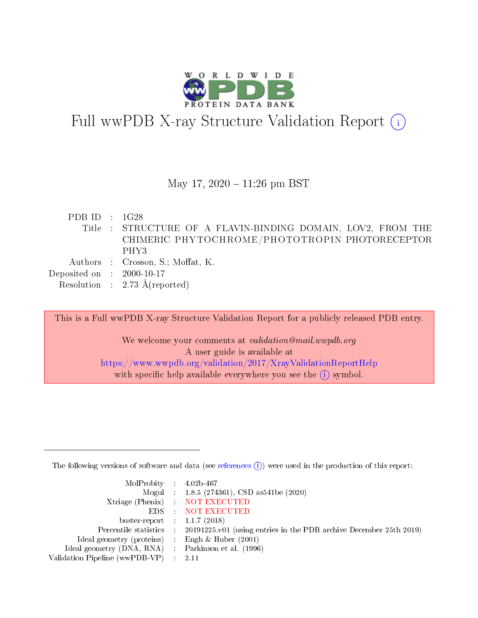

# Full wwPDB X-ray Structure Validation Report  $(i)$

#### May 17,  $2020 - 11:26$  pm BST

PDB ID : 1G28 Title : STRUCTURE OF A FLAVIN-BINDING DOMAIN, LOV2, FROM THE CHIMERIC PHYTOCHROME/PHOTOTROPIN PHOTORECEPTOR PHY3 Authors : Crosson, S.; Moffat, K. Deposited on : 2000-10-17 Resolution : 2.73 Å(reported)

This is a Full wwPDB X-ray Structure Validation Report for a publicly released PDB entry.

We welcome your comments at validation@mail.wwpdb.org A user guide is available at <https://www.wwpdb.org/validation/2017/XrayValidationReportHelp> with specific help available everywhere you see the  $(i)$  symbol.

The following versions of software and data (see [references](https://www.wwpdb.org/validation/2017/XrayValidationReportHelp#references)  $(1)$ ) were used in the production of this report:

| MolProbity : $4.02b-467$                            |                                                                                            |
|-----------------------------------------------------|--------------------------------------------------------------------------------------------|
|                                                     | Mogul : 1.8.5 (274361), CSD as 541be (2020)                                                |
|                                                     | Xtriage (Phenix) NOT EXECUTED                                                              |
|                                                     | EDS : NOT EXECUTED                                                                         |
| buster-report : $1.1.7(2018)$                       |                                                                                            |
|                                                     | Percentile statistics : 20191225.v01 (using entries in the PDB archive December 25th 2019) |
| Ideal geometry (proteins) : Engh $\&$ Huber (2001)  |                                                                                            |
| Ideal geometry (DNA, RNA) : Parkinson et al. (1996) |                                                                                            |
| Validation Pipeline (wwPDB-VP) : 2.11               |                                                                                            |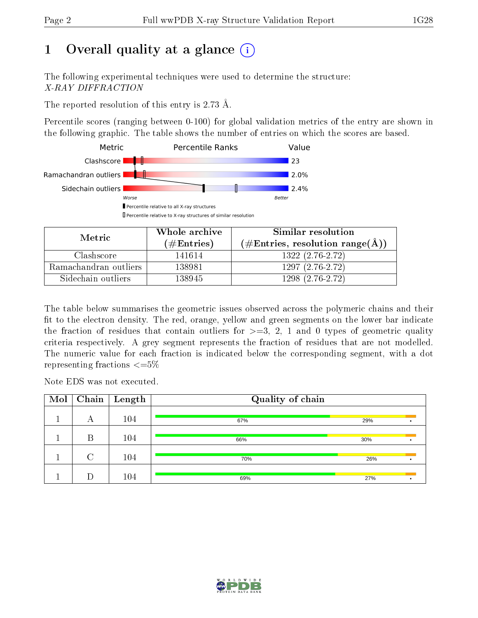# 1 [O](https://www.wwpdb.org/validation/2017/XrayValidationReportHelp#overall_quality)verall quality at a glance  $(i)$

The following experimental techniques were used to determine the structure: X-RAY DIFFRACTION

The reported resolution of this entry is 2.73 Å.

Percentile scores (ranging between 0-100) for global validation metrics of the entry are shown in the following graphic. The table shows the number of entries on which the scores are based.



| Metric                | Whole archive        | Similar resolution                                         |
|-----------------------|----------------------|------------------------------------------------------------|
|                       | $(\#\text{Entries})$ | $(\#\text{Entries}, \text{resolution range}(\text{\AA})\)$ |
| Clashscore            | 141614               | $1322(2.76-2.72)$                                          |
| Ramachandran outliers | 138981               | $1297(2.76-2.72)$                                          |
| Sidechain outliers    | 138945               | 1298 (2.76-2.72)                                           |

The table below summarises the geometric issues observed across the polymeric chains and their fit to the electron density. The red, orange, yellow and green segments on the lower bar indicate the fraction of residues that contain outliers for  $\geq=3$ , 2, 1 and 0 types of geometric quality criteria respectively. A grey segment represents the fraction of residues that are not modelled. The numeric value for each fraction is indicated below the corresponding segment, with a dot representing fractions  $\leq=5\%$ 

Note EDS was not executed.

| Mol |        | $\overline{\text{Chain}} \mid \text{Length}$ | Quality of chain |     |  |
|-----|--------|----------------------------------------------|------------------|-----|--|
|     | А      | 104                                          | 67%              | 29% |  |
|     | B      | 104                                          | 66%              | 30% |  |
|     | $\cap$ | 104                                          | 70%              | 26% |  |
|     |        | 104                                          | 69%              | 27% |  |

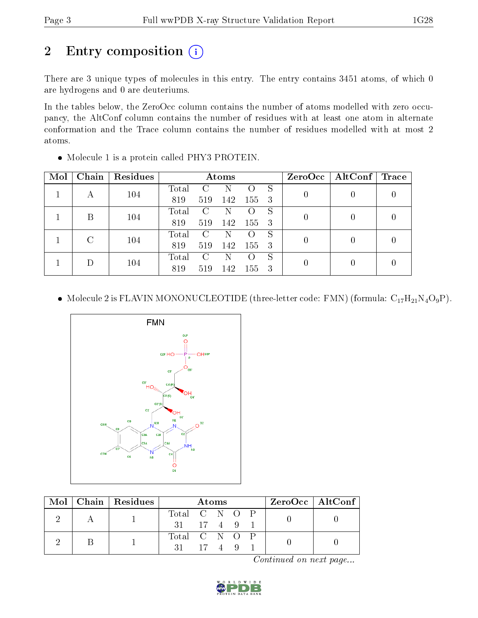# 2 Entry composition (i)

There are 3 unique types of molecules in this entry. The entry contains 3451 atoms, of which 0 are hydrogens and 0 are deuteriums.

In the tables below, the ZeroOcc column contains the number of atoms modelled with zero occupancy, the AltConf column contains the number of residues with at least one atom in alternate conformation and the Trace column contains the number of residues modelled with at most 2 atoms.

| Mol | Chain | Residues |       |              | Atoms |                  |   | $ZeroOcc \   \$ AltConf | $\operatorname{Trace}$ |
|-----|-------|----------|-------|--------------|-------|------------------|---|-------------------------|------------------------|
| А   | 104   | Total    | C     |              |       | S                |   |                         |                        |
|     |       | 819      | 519   | 142          | 155   | 3                |   |                         |                        |
|     | В     | 104      | Total | C            | N     |                  | S |                         |                        |
|     |       |          | 819   | 519          | 142   | 155              | 3 |                         |                        |
|     |       | C<br>104 | Total | $\mathbf{C}$ |       |                  | S |                         |                        |
|     |       |          | 819   | 519          | 142   | 155              | 3 |                         |                        |
|     |       |          | Total | C            | N     | $\left( \right)$ | S |                         |                        |
|     |       | 104      | 819   | 519          | 142   | 155              | 3 |                         |                        |

Molecule 1 is a protein called PHY3 PROTEIN.

• Molecule 2 is FLAVIN MONONUCLEOTIDE (three-letter code: FMN) (formula:  $C_{17}H_{21}N_4O_9P$ ).



|  | Mol   Chain   Residues |               | Atoms |  | $ZeroOcc \mid AltConf \mid$ |  |  |
|--|------------------------|---------------|-------|--|-----------------------------|--|--|
|  |                        | Total C N O P |       |  |                             |  |  |
|  |                        | 31 17 4 9 1   |       |  |                             |  |  |
|  |                        | Total C N O P |       |  |                             |  |  |
|  |                        | 31 17 4 9     |       |  |                             |  |  |

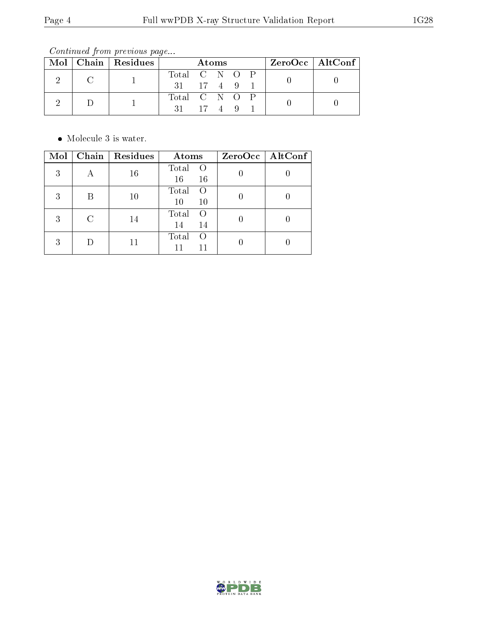Continued from previous page...

|  | $Mol$   Chain   Residues | Atoms                |  | ZeroOcc   AltConf |  |  |  |
|--|--------------------------|----------------------|--|-------------------|--|--|--|
|  |                          | Total C N O P        |  |                   |  |  |  |
|  |                          | $31 \t 17 \t 4 \t 9$ |  |                   |  |  |  |
|  |                          | Total C N O P        |  |                   |  |  |  |
|  |                          | $31 \t 17 \t 4 \t 9$ |  |                   |  |  |  |

 $\bullet\,$  Molecule 3 is water.

| Mol | Chain   $Residues$ | Atoms                         | ZeroOcc   AltConf |
|-----|--------------------|-------------------------------|-------------------|
| 3   | 16                 | Total<br>16<br>16             |                   |
| 3   | 10                 | Total<br>$\left($<br>10<br>10 |                   |
| 3   | 14                 | Total<br>14<br>14             |                   |
| 3   |                    | Total<br>$\left( \right)$     |                   |

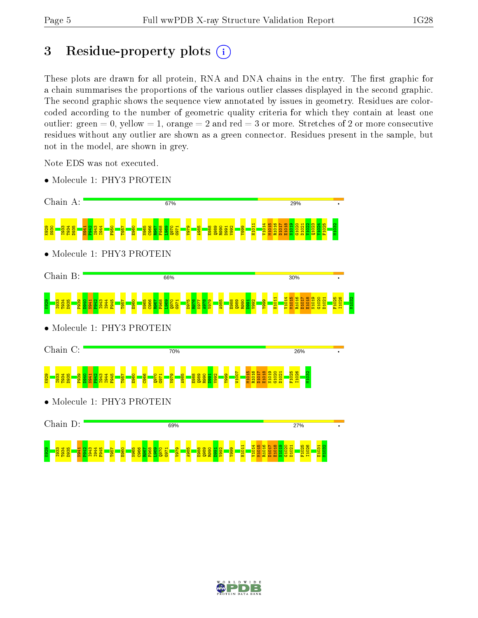# 3 Residue-property plots  $(i)$

These plots are drawn for all protein, RNA and DNA chains in the entry. The first graphic for a chain summarises the proportions of the various outlier classes displayed in the second graphic. The second graphic shows the sequence view annotated by issues in geometry. Residues are colorcoded according to the number of geometric quality criteria for which they contain at least one outlier: green  $= 0$ , yellow  $= 1$ , orange  $= 2$  and red  $= 3$  or more. Stretches of 2 or more consecutive residues without any outlier are shown as a green connector. Residues present in the sample, but not in the model, are shown in grey.

Note EDS was not executed.

• Molecule 1: PHY3 PROTEIN



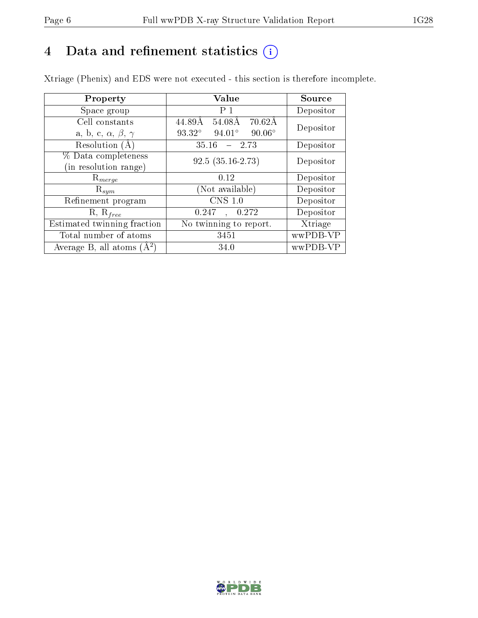# 4 Data and refinement statistics  $(i)$

Xtriage (Phenix) and EDS were not executed - this section is therefore incomplete.

| Property                               | Value                                      | Source    |  |
|----------------------------------------|--------------------------------------------|-----------|--|
| Space group                            | P <sub>1</sub>                             | Depositor |  |
| Cell constants                         | $70.62\text{\AA}$<br>44.89Å<br>54.08Å      | Depositor |  |
| a, b, c, $\alpha$ , $\beta$ , $\gamma$ | 93.32°<br>$94.01^{\circ}$<br>$90.06^\circ$ |           |  |
| Resolution $(A)$                       | 35.16<br>$-2.73$                           | Depositor |  |
| % Data completeness                    | $92.5(35.16-2.73)$                         | Depositor |  |
| (in resolution range)                  |                                            |           |  |
| $R_{merge}$                            | 0.12                                       | Depositor |  |
| $\mathrm{R}_{sym}$                     | (Not available)                            | Depositor |  |
| Refinement program                     | CNS 1.0                                    | Depositor |  |
| $R, R_{free}$                          | 0.247<br>0.272<br>$\ddot{\phantom{a}}$     | Depositor |  |
| Estimated twinning fraction            | No twinning to report.                     | Xtriage   |  |
| Total number of atoms                  | 3451                                       | wwPDB-VP  |  |
| Average B, all atoms $(A^2)$           | 34.0                                       | wwPDB-VP  |  |

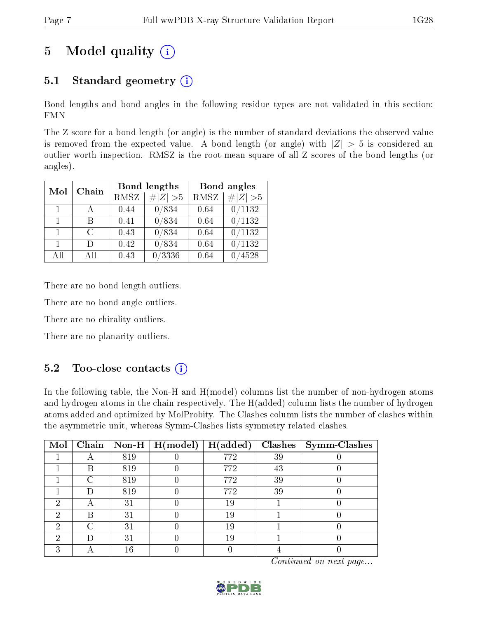# 5 Model quality  $(i)$

# 5.1 Standard geometry  $(i)$

Bond lengths and bond angles in the following residue types are not validated in this section: FMN

The Z score for a bond length (or angle) is the number of standard deviations the observed value is removed from the expected value. A bond length (or angle) with  $|Z| > 5$  is considered an outlier worth inspection. RMSZ is the root-mean-square of all Z scores of the bond lengths (or angles).

| Mol            | Chain         |             | <b>Bond lengths</b> | Bond angles |        |  |
|----------------|---------------|-------------|---------------------|-------------|--------|--|
|                | <b>RMSZ</b>   | $\# Z  > 5$ | <b>RMSZ</b>         | # $ Z >5$   |        |  |
| $\overline{1}$ |               | 0.44        | 0/834               | 0.64        | 0/1132 |  |
| $\mathbf{1}$   | В             | 0.41        | 0/834               | 0.64        | 0/1132 |  |
| $\mathbf{1}$   | $\mathcal{C}$ | 0.43        | 0/834               | 0.64        | 0/1132 |  |
| $\overline{1}$ | Ð             | 0.42        | 0/834               | 0.64        | /1132  |  |
| All            | Αll           | 0.43        | 0/3336              | 0.64        | 4528   |  |

There are no bond length outliers.

There are no bond angle outliers.

There are no chirality outliers.

There are no planarity outliers.

# $5.2$  Too-close contacts  $\overline{1}$

In the following table, the Non-H and H(model) columns list the number of non-hydrogen atoms and hydrogen atoms in the chain respectively. The H(added) column lists the number of hydrogen atoms added and optimized by MolProbity. The Clashes column lists the number of clashes within the asymmetric unit, whereas Symm-Clashes lists symmetry related clashes.

| $\text{Mol}$ |   |     | Chain   Non-H $\vert$ H(model)   H(added) |     |    | $\textbf{Class} \mid \textbf{Symm-Class}$ |
|--------------|---|-----|-------------------------------------------|-----|----|-------------------------------------------|
|              |   | 819 |                                           | 772 | 39 |                                           |
|              | В | 819 |                                           | 772 | 43 |                                           |
|              |   | 819 |                                           | 772 | 39 |                                           |
|              |   | 819 |                                           | 772 | 39 |                                           |
| 6)           |   | 31  |                                           | 19  |    |                                           |
| ٠,           | R | 31  |                                           | 19  |    |                                           |
| ച            |   | 31  |                                           | 19  |    |                                           |
| 6)           |   | 31  |                                           | 19  |    |                                           |
|              |   |     |                                           |     |    |                                           |

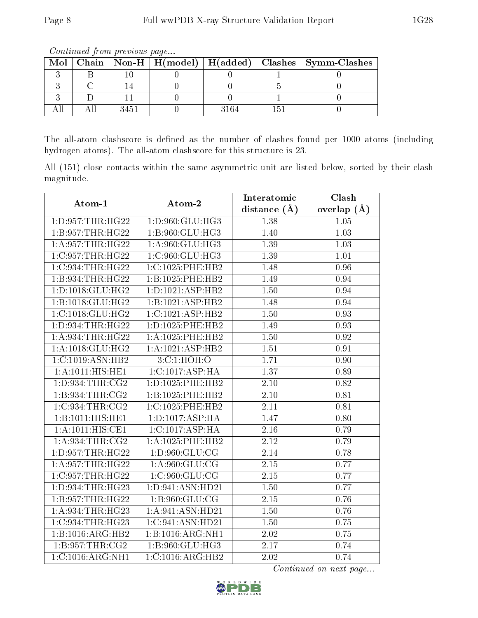|  |  |      |  |          |  | Mol   Chain   Non-H   H(model)   H(added)   Clashes   Symm-Clashes |  |
|--|--|------|--|----------|--|--------------------------------------------------------------------|--|
|  |  |      |  |          |  |                                                                    |  |
|  |  |      |  |          |  |                                                                    |  |
|  |  |      |  |          |  |                                                                    |  |
|  |  | 3451 |  | $.164 -$ |  |                                                                    |  |

Continued from previous page...

The all-atom clashscore is defined as the number of clashes found per 1000 atoms (including hydrogen atoms). The all-atom clashscore for this structure is 23.

All (151) close contacts within the same asymmetric unit are listed below, sorted by their clash magnitude.

| Atom-1                               | Atom-2               | Interatomic       | Clash           |
|--------------------------------------|----------------------|-------------------|-----------------|
|                                      |                      | distance $(A)$    | overlap $(\AA)$ |
| 1: D: 957: THR: HG22                 | 1:D:960:GLU:HG3      | 1.38              | 1.05            |
| 1:B:957:THR:HG22                     | 1:B:960:GLU:HG3      | 1.40              | 1.03            |
| 1: A:957:THR:HG22                    | 1: A:960: GLU: HG3   | 1.39              | 1.03            |
| 1:C:957:THR:HG22                     | 1:C:960:GLU:HG3      | 1.39              | 1.01            |
| 1:C:934:THR:HG22                     | 1:C:1025:PHE:HB2     | 1.48              | 0.96            |
| 1:B:934:THR:HG22                     | 1:B:1025:PHE:HB2     | 1.49              | 0.94            |
| 1:D:1018:GLU:HG2                     | 1:D:1021:ASP:HB2     | 1.50              | 0.94            |
| 1:B:1018:GLU:HG2                     | 1:B:1021:ASP:HB2     | 1.48              | 0.94            |
| 1:C:1018:GLU:HG2                     | 1:C:1021:ASP:HB2     | 1.50              | 0.93            |
| 1: D: 934: THR: HG22                 | 1: D: 1025: PHE: HB2 | 1.49              | 0.93            |
| 1: A:934:THR:HG22                    | 1: A: 1025: PHE: HB2 | 1.50              | 0.92            |
| 1: A:1018: GLU:HG2                   | 1:A:1021:ASP:HB2     | 1.51              | 0.91            |
| 1:C:1019:ASN:HB2                     | 3:C:1:HOH:O          | 1.71              | 0.90            |
| 1: A: 1011:HIS: HE1                  | 1:C:1017:ASP:HA      | 1.37              | 0.89            |
| 1: D:934:THR:CG2                     | 1: D: 1025: PHE: HB2 | 2.10              | 0.82            |
| 1: B:934:THR:CG2                     | 1:B:1025:PHE:HB2     | 2.10              | 0.81            |
| 1:C:934:THR:CG2                      | 1:C:1025:PHE:HB2     | 2.11              | 0.81            |
| 1:B:1011:HIS:HE1                     | 1: D: 1017: ASP: HA  | 1.47              | 0.80            |
| 1:A:1011:HIS:CE1                     | 1:C:1017:ASP:HA      | 2.16              | 0.79            |
| 1: A:934:THR:CG2                     | 1:A:1025:PHE:HB2     | 2.12              | 0.79            |
| 1: D: 957: THR: HG22                 | 1: D:960: GLU: CG    | 2.14              | 0.78            |
| 1: A:957:THR:HG22                    | 1: A:960: GLU:CG     | 2.15              | 0.77            |
| 1:C:957:THR:HG22                     | 1:C:960:GLU:CG       | 2.15              | 0.77            |
| 1:D:934:THR:HG23                     | 1:D:941:ASN:HD21     | $1.50\,$          | 0.77            |
| 1:B:957:THR:HG22                     | 1: B: 960: GLU: CG   | $\overline{2.15}$ | 0.76            |
| 1: A:934:THR:HG23                    | 1:A:941:ASN:HD21     | 1.50              | 0.76            |
| 1:C:934:THR:HG23                     | 1:C:941:ASN:HD21     | 1.50              | 0.75            |
| 1:B:1016:ARG:HB2                     | 1:B:1016:ARG:NH1     | 2.02              | 0.75            |
| 1: B:957:THR:CG2                     | 1:B:960:GLU:HG3      | 2.17              | 0.74            |
| $1:C:1016:\overline{\text{ARG:NH1}}$ | 1:C:1016:ARG:HB2     | 2.02              | 0.74            |

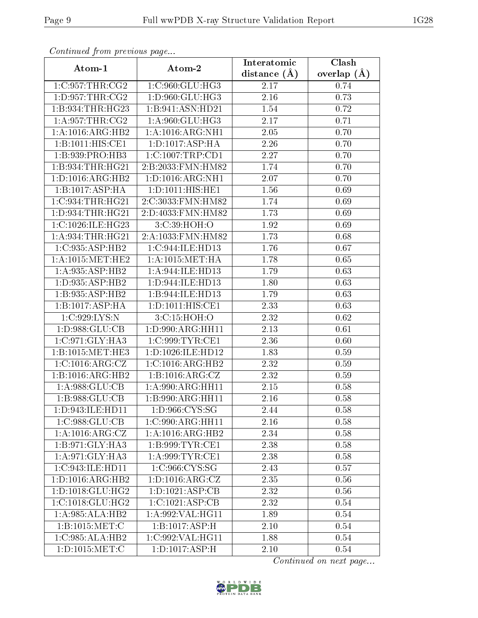| Atom-1               | Atom-2                | Interatomic    | Clash         |
|----------------------|-----------------------|----------------|---------------|
|                      |                       | distance $(A)$ | overlap $(A)$ |
| 1:C:957:THR:CG2      | 1:C:960:GLU:HG3       | 2.17           | 0.74          |
| 1: D:957:THR:CG2     | 1: D:960: GLU: HG3    | 2.16           | 0.73          |
| 1:B:934:THR:HG23     | 1:B:941:ASN:HD21      | 1.54           | 0.72          |
| 1: A:957:THR:CG2     | 1: A:960: GLU: HG3    | 2.17           | 0.71          |
| 1:A:1016:ARG:HB2     | 1:A:1016:ARG:NH1      | 2.05           | 0.70          |
| 1:B:1011:HIS:CE1     | 1: D: 1017: ASP: HA   | 2.26           | 0.70          |
| 1:B:939:PRO:HB3      | $1:C:1007$ : TRP: CD1 | 2.27           | 0.70          |
| $1:$ B:934:THR:HG21  | 2:B:2033:FMN:HM82     | 1.74           | 0.70          |
| 1:D:1016:ARG:HB2     | 1:D:1016:ARG:NH1      | 2.07           | 0.70          |
| 1:B:1017:ASP:HA      | 1: D: 1011: HIS: HE1  | 1.56           | 0.69          |
| 1:C:934:THR:HG21     | 2:C:3033:FMN:HM82     | 1.74           | 0.69          |
| 1:D:934:THR:HG21     | 2:D:4033:FMN:HM82     | 1.73           | 0.69          |
| 1:C:1026:ILE:HG23    | 3:C:39:HOH:O          | 1.92           | 0.69          |
| 1: A:934:THR:HG21    | 2:A:1033:FMN:HM82     | 1.73           | 0.68          |
| 1:C:935:ASP:HB2      | 1:C:944:ILE:HD13      | 1.76           | 0.67          |
| 1: A: 1015: MET: HE2 | 1: A: 1015: MET: HA   | 1.78           | 0.65          |
| 1:A:935:ASP:HB2      | 1:A:944:ILE:HD13      | 1.79           | 0.63          |
| 1:D:935:ASP:HB2      | 1:D:944:ILE:HD13      | 1.80           | 0.63          |
| 1:B:935:ASP:HB2      | 1:B:944:ILE:HD13      | 1.79           | 0.63          |
| 1:B:1017:ASP:HA      | 1: D: 1011: HIS: CE1  | 2.33           | 0.63          |
| 1:C:929:LYS:N        | 3: C:15: HOH:O        | 2.32           | 0.62          |
| 1: D: 988: GLU: CB   | 1: D: 990: ARG: HH11  | 2.13           | 0.61          |
| 1:C:971:GLY:HA3      | 1:C:999:TYR:CE1       | 2.36           | 0.60          |
| 1:B:1015:MET:HE3     | 1:D:1026:ILE:HD12     | 1.83           | 0.59          |
| 1:C:1016:ARG:CZ      | 1:C:1016:ARG:HB2      | 2.32           | 0.59          |
| 1:B:1016:ARG:HB2     | 1:B:1016:ARG:CZ       | 2.32           | 0.59          |
| 1: A:988: GLU:CB     | 1:A:990:ARG:HH11      | 2.15           | 0.58          |
| 1:B:988:GLU:CB       | 1:B:990:ARG:HH11      | 2.16           | 0.58          |
| 1:D:943:ILE:HD11     | 1: D:966: CYS:SG      | 2.44           | 0.58          |
| 1:C:988:GLU:CB       | 1:C:990:ARG:HH11      | 2.16           | 0.58          |
| 1: A: 1016: ARG: CZ  | 1:A:1016:ARG:HB2      | 2.34           | 0.58          |
| 1:B:971:GLY:HA3      | 1:B:999:TYR:CE1       | 2.38           | 0.58          |
| 1:A:971:GLY:HA3      | 1: A:999:TYR:CE1      | 2.38           | 0.58          |
| 1:C:943:ILE:HD11     | 1:C:966:CYS:SG        | 2.43           | 0.57          |
| 1:D:1016:ARG:HB2     | 1: D: 1016: ARG: CZ   | 2.35           | 0.56          |
| 1:D:1018:GLU:HG2     | 1: D: 1021: ASP: CB   | 2.32           | 0.56          |
| 1:C:1018:GLU:HG2     | 1:C:1021:ASP:CB       | 2.32           | 0.54          |
| 1:A:985:ALA:HB2      | 1:A:992:VAL:HG11      | 1.89           | 0.54          |
| 1:B:1015:MET:C       | 1:B:1017:ASP:H        | 2.10           | 0.54          |
| 1:C:985:ALA:HB2      | 1:C:992:VAL:HG11      | 1.88           | 0.54          |
| 1: D: 1015: MET:C    | 1: D: 1017: ASP:H     | 2.10           | 0.54          |

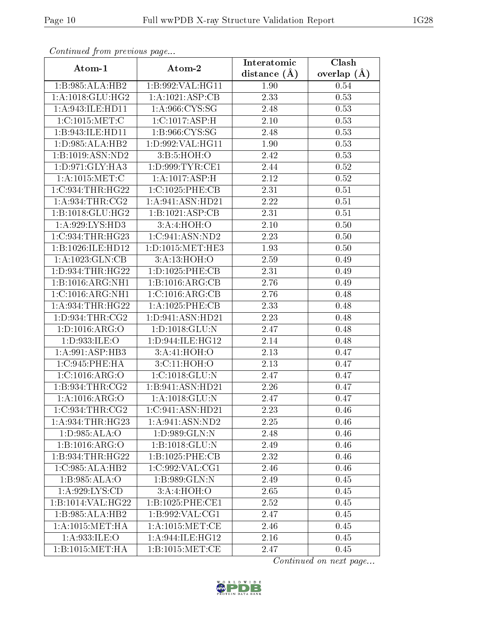| $\sum_{i=1}^{n}$<br>Atom-1            | Atom-2                                           | Interatomic      | Clash         |
|---------------------------------------|--------------------------------------------------|------------------|---------------|
|                                       |                                                  | distance $(\AA)$ | overlap $(A)$ |
| 1:B:985:ALA:HB2                       | 1:B:992:VAL:HG11                                 | 1.90             | 0.54          |
| 1:A:1018:GLU:HG2                      | 1:A:1021:ASP:CB                                  | 2.33             | 0.53          |
| 1:A:943:ILE:HD11                      | 1:A:966:CYS:SG                                   | 2.48             | 0.53          |
| 1:C:1015:MET:C                        | 1:C:1017:ASP:H                                   | 2.10             | 0.53          |
| 1:B:943:ILE:HD11                      | 1:B:966:CYS:SG                                   | 2.48             | 0.53          |
| 1: D: 985: ALA: HB2                   | 1:D:992:VAL:HG11                                 | 1.90             | 0.53          |
| $1:B:1019: \overline{\text{ASN:ND2}}$ | 3:B:5:HOH:O                                      | 2.42             | 0.53          |
| 1: D: 971: GLY: HA3                   | 1: D:999: TYR: CE1                               | 2.44             | 0.52          |
| 1: A: 1015: MET: C                    | 1:A:1017:ASP:H                                   | 2.12             | 0.52          |
| 1:C:934:THR:HG22                      | $1:C:1025:\overline{PHE:CB}$                     | 2.31             | 0.51          |
| 1: A:934:THR:CG2                      | 1:A:941:ASN:HD21                                 | 2.22             | 0.51          |
| 1:B:1018:GLU:HG2                      | 1:B:1021:ASP:CB                                  | 2.31             | 0.51          |
| 1: A:929: LYS: HD3                    | 3:A:4:HOH:O                                      | 2.10             | 0.50          |
| 1:C:934:THR:HG23                      | 1:C:941:ASN:ND2                                  | $2.23\,$         | 0.50          |
| 1:B:1026:ILE:HD12                     | 1:D:1015:MET:HE3                                 | 1.93             | 0.50          |
| 1: A: 1023: GLN: CB                   | 3:A:13:HOH:O                                     | 2.59             | 0.49          |
| 1: D: 934: THR: HG22                  | 1: D: 1025: PHE: CB                              | 2.31             | 0.49          |
| 1:B:1016:ARG:NH1                      | 1:B:1016:ARG:CB                                  | 2.76             | 0.49          |
| 1:C:1016:ARG:NH1                      | $1:C:1016:\overline{\text{ARG:CB}}$              | 2.76             | 0.48          |
| 1:A:934:THR:HG22                      | 1:A:1025:PHE:CB                                  | 2.33             | 0.48          |
| 1: D: 934: THR: CG2                   | 1:D:941:ASN:HD21                                 | 2.23             | 0.48          |
| 1: D: 1016: ARG: O                    | 1: D: 1018: GLU:N                                | 2.47             | 0.48          |
| 1:D:933:ILE:O                         | 1: D: 944: ILE: HG12                             | 2.14             | 0.48          |
| 1:A:991:ASP:HB3                       | 3:A:41:HOH:O                                     | 2.13             | 0.47          |
| 1:C:945:PHE:HA                        | 3: C:11: HOH:O                                   | 2.13             | 0.47          |
| 1:C:1016:ARG:O                        | 1:C:1018:GLU:N                                   | 2.47             | 0.47          |
| 1: B:934:THR:CG2                      | 1:B:941:ASN:HD21                                 | 2.26             | 0.47          |
| 1: A: 1016: ARG: O                    | 1:A:1018:GLU:N                                   | 2.47             | 0.47          |
| 1:C:934:THR:CG2                       | 1:C:941:ASN:HD21                                 | 2.23             | 0.46          |
| 1: A:934:THR:HG23                     | 1: A:941: ASN:ND2                                | 2.25             | 0.46          |
| 1:D:985:ALA:O                         | 1: D: 989: GLN:N                                 | 2.48             | 0.46          |
| 1:B:1016:ARG:O                        | 1:B:1018:GLU:N                                   | 2.49             | 0.46          |
| 1:B:934:THR:HG22                      | 1:B:1025:PHE:CB                                  | 2.32             | 0.46          |
| 1:C:985:ALA:HB2                       | 1:C:992:VAL:CG1                                  | 2.46             | 0.46          |
| 1:B:985:ALA:O                         | 1:B:989:GLN:N                                    | 2.49             | 0.45          |
| 1: A:929: LYS:CD                      | 3:A:4:HOH:O                                      | 2.65             | 0.45          |
| 1:B:1014:VAL:HG22                     | 1:B:1025:PHE:CE1                                 | 2.52             | 0.45          |
| 1:B:985:ALA:HB2                       | $1: B:992: \mathrm{VAL}:\overline{\mathrm{CG1}}$ | 2.47             | 0.45          |
| 1: A: 1015: MET: HA                   | 1: A: 1015: MET:CE                               | 2.46             | 0.45          |
| 1:A:933:ILE:O                         | 1:A:944:ILE:HG12                                 | 2.16             | 0.45          |
| 1:B:1015:MET:HA                       | 1: B: 1015: MET:CE                               | 2.47             | 0.45          |

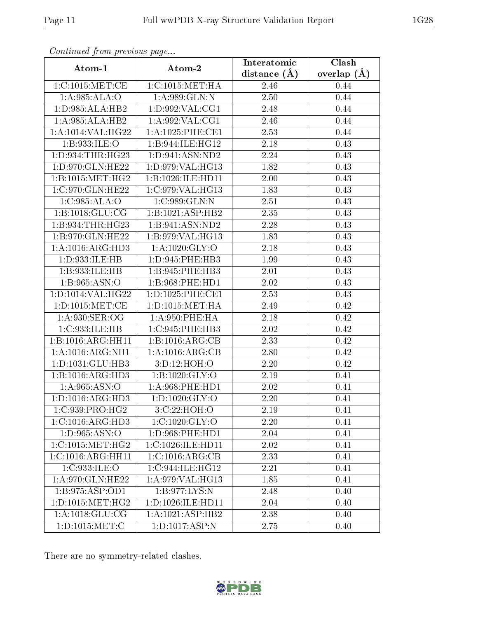| $P_{\text{ref}}(x) = P_{\text{ref}}(x)$ | Atom-2                                | Interatomic       | Clash         |
|-----------------------------------------|---------------------------------------|-------------------|---------------|
| Atom-1                                  |                                       | distance $(\AA)$  | overlap $(A)$ |
| 1:C:1015:MET:CE                         | 1:C:1015:MET:HA                       | 2.46              | 0.44          |
| 1: A:985: ALA:O                         | 1: A:989: GLN:N                       | 2.50              | 0.44          |
| 1:D:985:ALA:HB2                         | 1:D:992:VAL:CG1                       | 2.48              | 0.44          |
| 1:A:985:ALA:HB2                         | 1: A:992: VAL:CG1                     | 2.46              | 0.44          |
| 1:A:1014:VAL:HG22                       | 1: A: 1025: PHE: CE1                  | 2.53              | 0.44          |
| 1:B:933:ILE:O                           | 1:B:944:ILE:HG12                      | 2.18              | 0.43          |
| 1: D: 934: THR: HG23                    | $1: D:941: \overline{\text{ASN}:ND2}$ | $\overline{2.24}$ | 0.43          |
| 1: D:970: GLN: HE22                     | 1:D:979:VAL:HG13                      | 1.82              | 0.43          |
| 1:B:1015:MET:HG2                        | 1:B:1026:ILE:HD11                     | 2.00              | 0.43          |
| 1:C:970:GLN:HE22                        | 1:C:979:VAL:HG13                      | 1.83              | 0.43          |
| 1:C:985:ALA:O                           | 1:C:989:GLN:N                         | 2.51              | 0.43          |
| 1:B:1018:GLU:CG                         | 1:B:1021:ASP:HB2                      | 2.35              | 0.43          |
| 1:B:934:THR:HG23                        | 1:B:941:ASN:ND2                       | 2.28              | 0.43          |
| 1:B:970:GLN:HE22                        | 1:B:979:VAL:HG13                      | 1.83              | 0.43          |
| 1:A:1016:ARG:HD3                        | 1: A: 1020: GLY:O                     | 2.18              | 0.43          |
| 1:D:933:ILE:HB                          | 1: D: 945: PHE: HB3                   | 1.99              | 0.43          |
| 1:B:933:ILE:HB                          | 1:B:945:PHE:HB3                       | 2.01              | 0.43          |
| 1:B:965:ASN:O                           | 1:5:968:PHE:HD1                       | 2.02              | 0.43          |
| 1:D:1014:VAL:HG22                       | 1:D:1025:PHE:CE1                      | 2.53              | 0.43          |
| 1: D: 1015: MET:CE                      | 1: D: 1015: MET: HA                   | 2.49              | 0.42          |
| 1:A:930:SER:OG                          | 1: A:950: PHE: HA                     | 2.18              | 0.42          |
| 1:C:933:ILE:HB                          | 1:C:945:PHE:HB3                       | 2.02              | 0.42          |
| 1:B:1016:ARG:HH11                       | 1:B:1016:ARG:CB                       | 2.33              | 0.42          |
| 1:A:1016:ARG:NH1                        | 1:A:1016:ARG:CB                       | 2.80              | 0.42          |
| 1: D: 1031: GLU: HB3                    | 3:D:12:HOH:O                          | 2.20              | 0.42          |
| 1:B:1016:ARG:HD3                        | 1:B:1020:GLY:O                        | 2.19              | 0.41          |
| 1: A:965: ASN:O                         | 1: A:968: PHE:HD1                     | 2.02              | 0.41          |
| 1: D: 1016: ARG: HD3                    | 1: D: 1020: GLY: O                    | 2.20              | 0.41          |
| 1:C:939:PRO:HG2                         | 3:C:22:HOH:O                          | 2.19              | 0.41          |
| 1:C:1016:ARG:HD3                        | 1: C: 1020: GLY:O                     | 2.20              | 0.41          |
| 1: D: 965: ASN: O                       | 1: D:968: PHE: HD1                    | 2.04              | 0.41          |
| 1:C:1015:MET:HG2                        | 1:C:1026:ILE:HD11                     | 2.02              | 0.41          |
| 1:C:1016:ARG:HH11                       | 1:C:1016:ARG:CB                       | 2.33              | 0.41          |
| 1:C:933:ILE:O                           | 1:C:944:ILE:HG12                      | 2.21              | 0.41          |
| 1:A:970:GLN:HE22                        | 1:A:979:VAL:HG13                      | 1.85              | 0.41          |
| 1: B: 975: ASP: OD1                     | 1:B:977:LYS:N                         | 2.48              | 0.40          |
| 1:D:1015:MET:HG2                        | 1:D:1026:ILE:HD11                     | 2.04              | 0.40          |
| 1: A:1018: GLU:CG                       | 1:A:1021:ASP:HB2                      | 2.38              | 0.40          |
| 1:D:1015:MET:C                          | 1:D:1017:ASP:N                        | 2.75              | 0.40          |

There are no symmetry-related clashes.

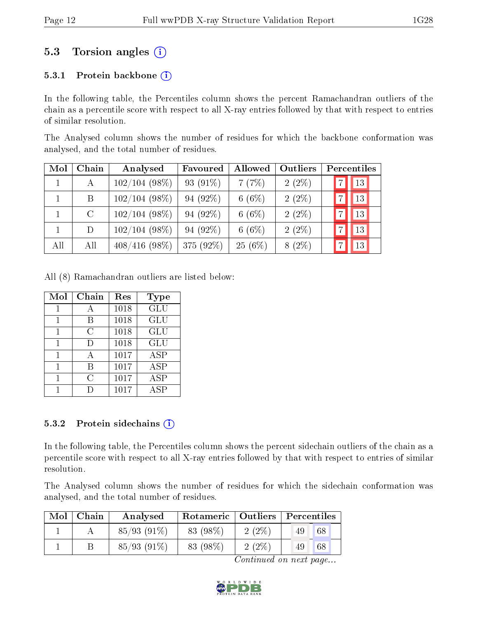# 5.3 Torsion angles (i)

#### 5.3.1 Protein backbone  $(i)$

In the following table, the Percentiles column shows the percent Ramachandran outliers of the chain as a percentile score with respect to all X-ray entries followed by that with respect to entries of similar resolution.

The Analysed column shows the number of residues for which the backbone conformation was analysed, and the total number of residues.

| Mol | Chain   | Analysed        | Favoured  | <b>Allowed</b> | Outliers | Percentiles |
|-----|---------|-----------------|-----------|----------------|----------|-------------|
| 1   | А       | $102/104(98\%)$ | 93 (91%)  | 7(7%)          | $2(2\%)$ | 13          |
|     | B       | $102/104(98\%)$ | 94 (92%)  | 6(6%)          | $2(2\%)$ | 13          |
|     | $\rm C$ | $102/104(98\%)$ | 94 (92%)  | 6(6%)          | $2(2\%)$ | 13          |
|     | D       | $102/104(98\%)$ | 94 (92%)  | 6(6%)          | $2(2\%)$ | 13          |
| All | All     | $408/416(98\%)$ | 375 (92%) | 25(6%)         | $8(2\%)$ | 13          |

All (8) Ramachandran outliers are listed below:

| Mol | Chain     | Res  | Type       |
|-----|-----------|------|------------|
|     |           | 1018 | <b>GLU</b> |
|     | В         | 1018 | GLU        |
| 1   | C         | 1018 | GLU        |
| 1   | Ð         | 1018 | GLU        |
|     | Ą         | 1017 | <b>ASP</b> |
|     | R         | 1017 | <b>ASP</b> |
|     | $\subset$ | 1017 | <b>ASP</b> |
|     |           | 1017 | ASP        |

#### 5.3.2 Protein sidechains (i)

In the following table, the Percentiles column shows the percent sidechain outliers of the chain as a percentile score with respect to all X-ray entries followed by that with respect to entries of similar resolution.

The Analysed column shows the number of residues for which the sidechain conformation was analysed, and the total number of residues.

| Mol | Chain | Analysed      | Rotameric   Outliers   Percentiles |       |    |    |
|-----|-------|---------------|------------------------------------|-------|----|----|
|     |       | $85/93(91\%)$ | 83 (98\%)                          | 2(2%) | 49 | 68 |
|     |       | $85/93(91\%)$ | 83 (98\%)                          | 2(2%) | 49 | 68 |

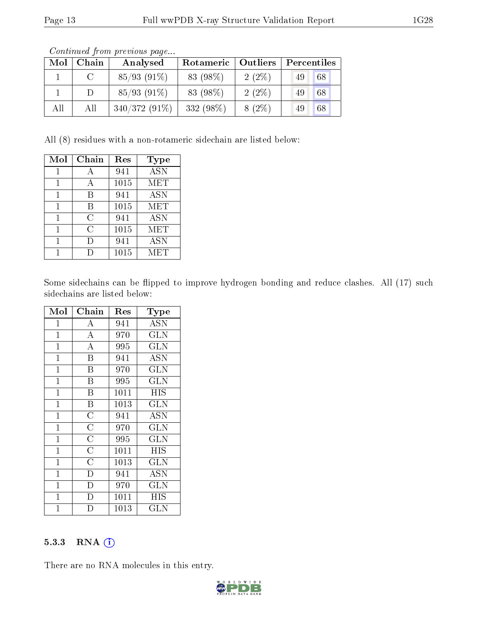| Mol | Chain    | Analysed        | Rotameric   Outliers |          | Percentiles |    |
|-----|----------|-----------------|----------------------|----------|-------------|----|
|     | $\Gamma$ | $85/93(91\%)$   | 83 (98%)             | $2(2\%)$ | 49          | 68 |
|     | $\Box$   | $85/93(91\%)$   | 83 (98%)             | $2(2\%)$ | 49          | 68 |
| All | All      | $340/372(91\%)$ | 332 (98%)            | $8(2\%)$ | 49          | 68 |

Continued from previous page...

All (8) residues with a non-rotameric sidechain are listed below:

| Mol | Chain | Res  | Type       |
|-----|-------|------|------------|
|     |       | 941  | <b>ASN</b> |
|     |       | 1015 | <b>MET</b> |
| 1   | В     | 941  | <b>ASN</b> |
| 1   | В     | 1015 | <b>MET</b> |
| 1   | C     | 941  | <b>ASN</b> |
|     | С     | 1015 | <b>MET</b> |
|     | I)    | 941  | <b>ASN</b> |
|     |       | 1015 | MET        |

Some sidechains can be flipped to improve hydrogen bonding and reduce clashes. All (17) such sidechains are listed below:

| Mol          | Chain                   | Res  | Type                    |
|--------------|-------------------------|------|-------------------------|
| $\mathbf 1$  | А                       | 941  | ASN                     |
| $\mathbf{1}$ | $\overline{\rm A}$      | 970  | <b>GLN</b>              |
| $\mathbf 1$  | $\overline{\rm A}$      | 995  | <b>GLN</b>              |
| $\mathbf 1$  | B                       | 941  | <b>ASN</b>              |
| $\mathbf{1}$ | B                       | 970  | <b>GLN</b>              |
| $\mathbf{1}$ | B                       | 995  | GLN                     |
| $\mathbf{1}$ | B                       | 1011 | HIS                     |
| $\mathbf{1}$ | $\overline{\mathrm{B}}$ | 1013 | $\overline{\text{GLN}}$ |
| $\mathbf{1}$ | $\overline{\text{C}}$   | 941  | ASN                     |
| $\mathbf{1}$ | $\overline{\rm C}$      | 970  | <b>GLN</b>              |
| $\mathbf{1}$ | $\overline{\rm C}$      | 995  | <b>GLN</b>              |
| $\mathbf 1$  | $\overline{\rm C}$      | 1011 | HIS                     |
| $\mathbf{1}$ | $\overline{\rm C}$      | 1013 | $\overline{\text{GLN}}$ |
| $\mathbf{1}$ | $\overline{\rm D}$      | 941  | <b>ASN</b>              |
| $\mathbf{1}$ | $\overline{\rm D}$      | 970  | $\overline{\text{GLN}}$ |
| $\mathbf{1}$ | $\overline{\mathrm{D}}$ | 1011 | ΗIS                     |
| 1            | D)                      | 1013 | $_{\rm GLN}$            |

#### 5.3.3 RNA [O](https://www.wwpdb.org/validation/2017/XrayValidationReportHelp#rna)i

There are no RNA molecules in this entry.

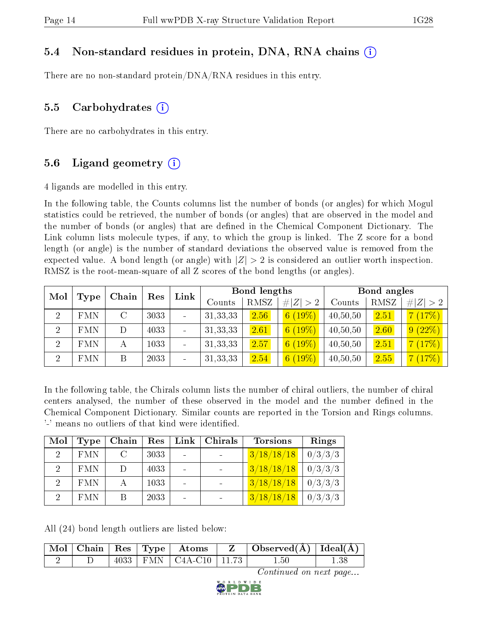### 5.4 Non-standard residues in protein, DNA, RNA chains (i)

There are no non-standard protein/DNA/RNA residues in this entry.

### 5.5 Carbohydrates  $(i)$

There are no carbohydrates in this entry.

### 5.6 Ligand geometry  $(i)$

4 ligands are modelled in this entry.

In the following table, the Counts columns list the number of bonds (or angles) for which Mogul statistics could be retrieved, the number of bonds (or angles) that are observed in the model and the number of bonds (or angles) that are dened in the Chemical Component Dictionary. The Link column lists molecule types, if any, to which the group is linked. The Z score for a bond length (or angle) is the number of standard deviations the observed value is removed from the expected value. A bond length (or angle) with  $|Z| > 2$  is considered an outlier worth inspection. RMSZ is the root-mean-square of all Z scores of the bond lengths (or angles).

| Mol            |            | Chain | Res  | Link |            | <b>Bond lengths</b> |             |          | Bond angles |             |
|----------------|------------|-------|------|------|------------|---------------------|-------------|----------|-------------|-------------|
|                | Type       |       |      |      | Counts     | RMSZ                | # $ Z  > 2$ | Counts   | RMSZ        | # $ Z  > 2$ |
| $\overline{2}$ | <b>FMN</b> |       | 3033 |      | 31, 33, 33 | 2.56                | $6(19\%)$   | 40,50,50 | 2.51        | 7(17%)      |
| $\overline{2}$ | <b>FMN</b> |       | 4033 |      | 31, 33, 33 | 2.61                | 6(19%)      | 40,50,50 | 2.60        | 9(22%)      |
| $\overline{2}$ | <b>FMN</b> | А     | 1033 |      | 31, 33, 33 | 2.57                | $6(19\%)$   | 40,50,50 | 2.51        | 7(17%)      |
| $\overline{2}$ | <b>FMN</b> | B     | 2033 |      | 31, 33, 33 | 2.54                | 6(19%)      | 40,50,50 | 2.55        | 7(17%)      |

In the following table, the Chirals column lists the number of chiral outliers, the number of chiral centers analysed, the number of these observed in the model and the number defined in the Chemical Component Dictionary. Similar counts are reported in the Torsion and Rings columns. '-' means no outliers of that kind were identified.

| Mol             | <b>Type</b> | Chain         | $\operatorname{Res}$ | $\lfloor$ Link $\rfloor$ | Chirals | <b>Torsions</b> | Rings   |
|-----------------|-------------|---------------|----------------------|--------------------------|---------|-----------------|---------|
| $\mathcal{D}$   | <b>FMN</b>  | $\mathcal{C}$ | 3033                 |                          |         | 3/18/18/18      | 0/3/3/3 |
| $\mathcal{D}^-$ | <b>FMN</b>  | $\Box$        | 4033                 |                          |         | 3/18/18/18      | 0/3/3/3 |
| 2               | <b>FMN</b>  |               | 1033                 |                          |         | 3/18/18/18      | 0/3/3/3 |
| $\mathcal{D}$   | <b>FMN</b>  |               | 2033                 |                          |         | 3/18/18/18      | 0/3/3/3 |

All (24) bond length outliers are listed below:

|  |  | $\sqrt{\text{Mol}}$   Chain   Res   Type   Atoms | $Z \cup \text{Observed}(\AA) \cup \text{Ideal}(\AA)$ |  |
|--|--|--------------------------------------------------|------------------------------------------------------|--|
|  |  | $4033$   FMN   C4A-C10   11.73                   | $1.50\,$                                             |  |

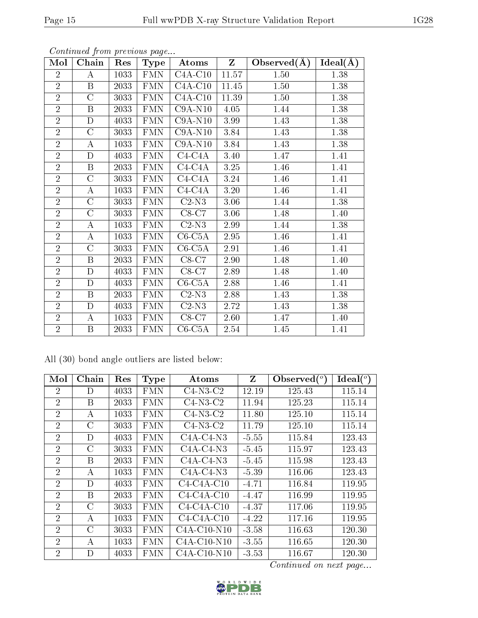| Mol            | Chain              | Res  | <b>Type</b>          | Atoms                       | $\mathbf{Z}$ | Observed $(A)$ | $Ideal(\AA)$ |
|----------------|--------------------|------|----------------------|-----------------------------|--------------|----------------|--------------|
| $\overline{2}$ | А                  | 1033 | <b>FMN</b>           | $C4A-C10$                   | 11.57        | 1.50           | 1.38         |
| $\overline{2}$ | B                  | 2033 | <b>FMN</b>           | $C4A-C10$                   | 11.45        | 1.50           | 1.38         |
| $\overline{2}$ | $\mathcal{C}$      | 3033 | <b>FMN</b>           | $C4A-C10$                   | 11.39        | 1.50           | 1.38         |
| $\overline{2}$ | $\boldsymbol{B}$   | 2033 | <b>FMN</b>           | $C9A-N10$                   | 4.05         | 1.44           | 1.38         |
| $\overline{2}$ | $\mathbf D$        | 4033 | <b>FMN</b>           | $C9A-N10$                   | 3.99         | 1.43           | 1.38         |
| $\overline{2}$ | $\overline{C}$     | 3033 | FMN                  | $C9A-N10$                   | 3.84         | 1.43           | 1.38         |
| $\overline{2}$ | $\boldsymbol{A}$   | 1033 | <b>FMN</b>           | $C9A-N10$                   | 3.84         | 1.43           | 1.38         |
| $\overline{2}$ | $\overline{\rm D}$ | 4033 | $\overline{\rm FMN}$ | $C4-C4A$                    | 3.40         | 1.47           | 1.41         |
| $\overline{2}$ | $\boldsymbol{B}$   | 2033 | <b>FMN</b>           | $C4-C4A$                    | 3.25         | 1.46           | 1.41         |
| $\overline{2}$ | $\mathcal{C}$      | 3033 | <b>FMN</b>           | $C4-C4A$                    | 3.24         | 1.46           | 1.41         |
| $\overline{2}$ | A                  | 1033 | <b>FMN</b>           | $C4-C4A$                    | 3.20         | 1.46           | 1.41         |
| $\overline{2}$ | $\mathcal{C}$      | 3033 | <b>FMN</b>           | $C2-N3$                     | 3.06         | 1.44           | 1.38         |
| $\overline{2}$ | $\mathcal{C}$      | 3033 | <b>FMN</b>           | $C8-C7$                     | 3.06         | 1.48           | 1.40         |
| $\overline{2}$ | $\boldsymbol{A}$   | 1033 | <b>FMN</b>           | $C2-N3$                     | 2.99         | 1.44           | 1.38         |
| $\overline{2}$ | $\boldsymbol{A}$   | 1033 | FMN                  | $\overline{\text{C6-C5}}$ A | 2.95         | 1.46           | 1.41         |
| $\overline{2}$ | $\overline{C}$     | 3033 | <b>FMN</b>           | $C6-C5A$                    | 2.91         | 1.46           | 1.41         |
| $\overline{2}$ | $\boldsymbol{B}$   | 2033 | <b>FMN</b>           | $C8-C7$                     | 2.90         | 1.48           | 1.40         |
| $\overline{2}$ | $\mathbf D$        | 4033 | <b>FMN</b>           | $C8-C7$                     | 2.89         | 1.48           | 1.40         |
| $\overline{2}$ | $\mathbf D$        | 4033 | <b>FMN</b>           | $C6-C5A$                    | 2.88         | 1.46           | 1.41         |
| $\overline{2}$ | $\boldsymbol{B}$   | 2033 | $\rm FMN$            | $C2-N3$                     | 2.88         | 1.43           | 1.38         |
| $\overline{2}$ | D                  | 4033 | <b>FMN</b>           | $C2-N3$                     | 2.72         | 1.43           | 1.38         |
| $\overline{2}$ | $\bf{A}$           | 1033 | <b>FMN</b>           | $C8-C7$                     | 2.60         | 1.47           | 1.40         |
| $\overline{2}$ | B                  | 2033 | <b>FMN</b>           | $C6-C5A$                    | 2.54         | 1.45           | 1.41         |

|  |  |  |  | All (30) bond angle outliers are listed below: |  |  |  |
|--|--|--|--|------------------------------------------------|--|--|--|
|--|--|--|--|------------------------------------------------|--|--|--|

| Mol            | Chain   | $\operatorname{Res}% \left( \mathcal{N}\right) \equiv\operatorname{Res}(\mathcal{N}_{0})\cap\mathcal{N}_{1}$ | Type       | Atoms         | Z       | Observed $(°)$ | $\text{Ideal}(\textsuperscript{o})$ |
|----------------|---------|--------------------------------------------------------------------------------------------------------------|------------|---------------|---------|----------------|-------------------------------------|
| 2              | D       | 4033                                                                                                         | <b>FMN</b> | $C4-N3-C2$    | 12.19   | 125.43         | 115.14                              |
| $\overline{2}$ | B       | 2033                                                                                                         | <b>FMN</b> | $C4-N3-C2$    | 11.94   | 125.23         | 115.14                              |
| $\overline{2}$ | А       | 1033                                                                                                         | <b>FMN</b> | $C4-N3-C2$    | 11.80   | 125.10         | 115.14                              |
| $\overline{2}$ | С       | 3033                                                                                                         | <b>FMN</b> | $C4-N3-C2$    | 11.79   | 125.10         | 115.14                              |
| $\overline{2}$ | D       | 4033                                                                                                         | <b>FMN</b> | $C4A-C4-N3$   | $-5.55$ | 115.84         | 123.43                              |
| $\overline{2}$ | С       | 3033                                                                                                         | <b>FMN</b> | $C4A-C4-N3$   | $-5.45$ | 115.97         | 123.43                              |
| $\overline{2}$ | B       | 2033                                                                                                         | <b>FMN</b> | $C4A-C4-N3$   | $-5.45$ | 115.98         | 123.43                              |
| $\overline{2}$ | А       | 1033                                                                                                         | <b>FMN</b> | $C4A-C4-N3$   | $-5.39$ | 116.06         | 123.43                              |
| $\overline{2}$ | D       | 4033                                                                                                         | <b>FMN</b> | $C4-C4A-C10$  | $-4.71$ | 116.84         | 119.95                              |
| $\overline{2}$ | В       | 2033                                                                                                         | <b>FMN</b> | $C4-C4A-C10$  | -4.47   | 116.99         | 119.95                              |
| $\overline{2}$ | $\rm C$ | 3033                                                                                                         | <b>FMN</b> | $C4-C4A-C10$  | -4.37   | 117.06         | 119.95                              |
| $\overline{2}$ | А       | 1033                                                                                                         | <b>FMN</b> | $C4-C4A-C10$  | $-4.22$ | 117.16         | 119.95                              |
| $\overline{2}$ | С       | 3033                                                                                                         | <b>FMN</b> | $C4A-C10-N10$ | $-3.58$ | 116.63         | 120.30                              |
| $\overline{2}$ | А       | 1033                                                                                                         | <b>FMN</b> | $C4A-C10-N10$ | $-3.55$ | 116.65         | 120.30                              |
| $\overline{2}$ | D       | 4033                                                                                                         | FMN        | $C4A-C10-N10$ | $-3.53$ | 116.67         | 120.30                              |

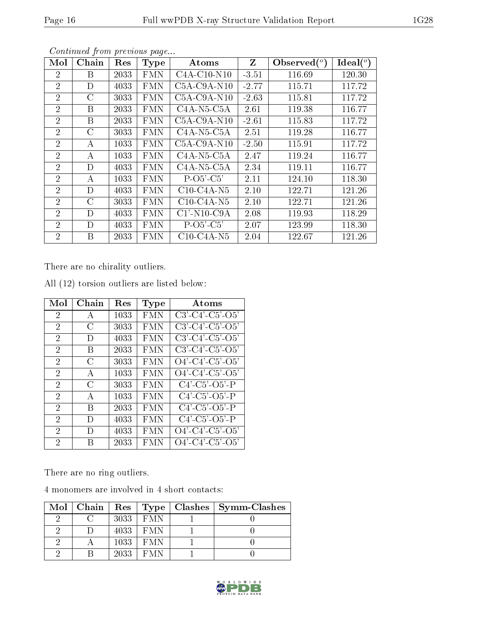| Mol            | Chain          | Res  | <b>Type</b> | Atoms                                    | Z       | Observed $(°)$ | $Ideal(^o)$ |
|----------------|----------------|------|-------------|------------------------------------------|---------|----------------|-------------|
| $\overline{2}$ | В              | 2033 | <b>FMN</b>  | $C4A-C10-N10$                            | $-3.51$ | 116.69         | 120.30      |
| $\overline{2}$ | D              | 4033 | <b>FMN</b>  | $C5A-C9A-N10$                            | $-2.77$ | 115.71         | 117.72      |
| $\overline{2}$ | C              | 3033 | <b>FMN</b>  | $C5A-C9A-N10$                            | $-2.63$ | 115.81         | 117.72      |
| $\overline{2}$ | В              | 2033 | <b>FMN</b>  | $C4A-N5-C5A$                             | 2.61    | 119.38         | 116.77      |
| $\overline{2}$ | Β              | 2033 | <b>FMN</b>  | $C5A-C9A-N10$                            | $-2.61$ | 115.83         | 117.72      |
| $\overline{2}$ | C              | 3033 | <b>FMN</b>  | $C4A-N5-C5A$                             | 2.51    | 119.28         | 116.77      |
| $\overline{2}$ | А              | 1033 | <b>FMN</b>  | $C5A-C9A-N10$                            | $-2.50$ | 115.91         | 117.72      |
| $\overline{2}$ | А              | 1033 | <b>FMN</b>  | $C4A-N5-C5A$                             | 2.47    | 119.24         | 116.77      |
| $\overline{2}$ | D              | 4033 | <b>FMN</b>  | $C4A-N5-C5A$                             | 2.34    | 119.11         | 116.77      |
| $\overline{2}$ | А              | 1033 | <b>FMN</b>  | $P-O5'-C5'$                              | 2.11    | 124.10         | 118.30      |
| $\overline{2}$ | D              | 4033 | <b>FMN</b>  | $C10-C4A-N5$                             | 2.10    | 122.71         | 121.26      |
| $\overline{2}$ | $\overline{C}$ | 3033 | <b>FMN</b>  | $C10-C4A-N5$                             | 2.10    | 122.71         | 121.26      |
| $\overline{2}$ | D              | 4033 | <b>FMN</b>  | $C1'$ -N <sub>10</sub> -C <sub>9</sub> A | 2.08    | 119.93         | 118.29      |
| $\overline{2}$ | D              | 4033 | <b>FMN</b>  | $P-O5'-C5'$                              | 2.07    | 123.99         | 118.30      |
| $\overline{2}$ | B              | 2033 | <b>FMN</b>  | $C10-C4A-N5$                             | 2.04    | 122.67         | 121.26      |

There are no chirality outliers.

| Mol            | Chain        | Res  | <b>Type</b> | Atoms                         |
|----------------|--------------|------|-------------|-------------------------------|
| $\overline{2}$ | A            | 1033 | FMN         | $C3'-C4'-C5'-O5'$             |
| $\overline{2}$ | $\bigcap$    | 3033 | <b>FMN</b>  | $C3'$ - $C4'$ - $C5'$ - $O5'$ |
| 2              | D            | 4033 | FMN         | $C3'$ - $C4'$ - $C5'$ - $O5'$ |
| $\overline{2}$ | В            | 2033 | F MN        | $C3'$ - $C4'$ - $C5'$ - $O5'$ |
| $\mathfrak{D}$ | C            | 3033 | FMN         | $O4'$ -C4'-C5'-O5'            |
| $\overline{2}$ | A            | 1033 | <b>FMN</b>  | $O4'$ - $C4'$ - $C5'$ - $O5'$ |
| 2              | C            | 3033 | <b>FMN</b>  | $C4'$ $C5'$ $O5'$ P           |
| 2              | $\mathbf{A}$ | 1033 | <b>FMN</b>  | $C4'$ - $C5'$ - $O5'$ - $P$   |
| $\overline{2}$ | В            | 2033 | FMN         | $C4'$ - $C5'$ - $O5'$ - $P$   |
| 2              | Ð            | 4033 | F MN        | $C4'$ - $C5'$ - $O5'$ - $P$   |
| $\mathfrak{D}$ | Ð            | 4033 | FMN         | $O4'$ -C4'-C5'-O5'            |
| 2              | R            | 2033 | FMN         | $O4'$ - $C4'$ - $C5'$ - $O5'$ |

All (12) torsion outliers are listed below:

There are no ring outliers.

4 monomers are involved in 4 short contacts:

| $\text{Mol}$   Chain   Res   Type |      |      | $Class \mid Symm-Class$ |
|-----------------------------------|------|------|-------------------------|
|                                   | 3033 | F MN |                         |
|                                   | 4033 | F MN |                         |
|                                   | 1033 | F MN |                         |
|                                   | 2033 | FMN  |                         |

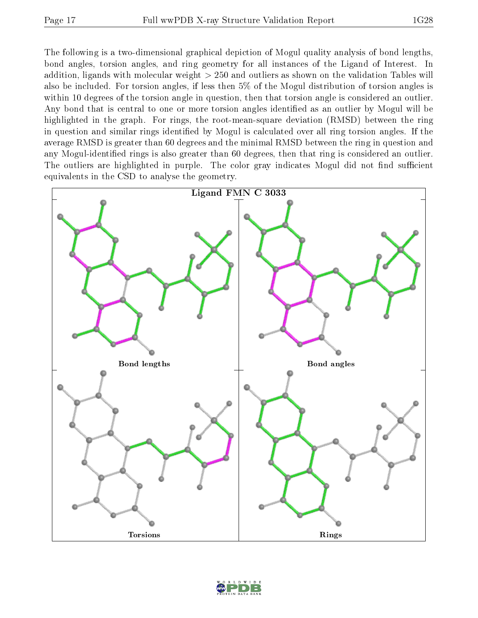The following is a two-dimensional graphical depiction of Mogul quality analysis of bond lengths, bond angles, torsion angles, and ring geometry for all instances of the Ligand of Interest. In addition, ligands with molecular weight > 250 and outliers as shown on the validation Tables will also be included. For torsion angles, if less then 5% of the Mogul distribution of torsion angles is within 10 degrees of the torsion angle in question, then that torsion angle is considered an outlier. Any bond that is central to one or more torsion angles identified as an outlier by Mogul will be highlighted in the graph. For rings, the root-mean-square deviation (RMSD) between the ring in question and similar rings identified by Mogul is calculated over all ring torsion angles. If the average RMSD is greater than 60 degrees and the minimal RMSD between the ring in question and any Mogul-identified rings is also greater than 60 degrees, then that ring is considered an outlier. The outliers are highlighted in purple. The color gray indicates Mogul did not find sufficient equivalents in the CSD to analyse the geometry.



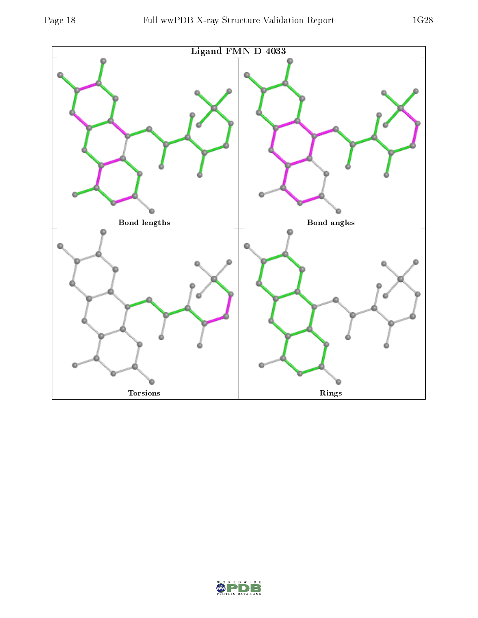

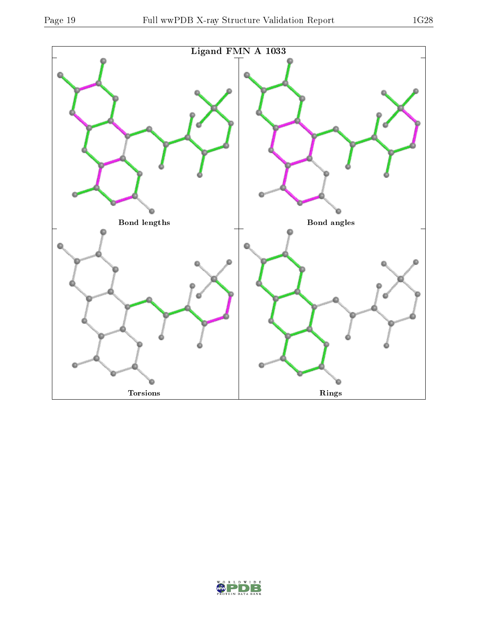

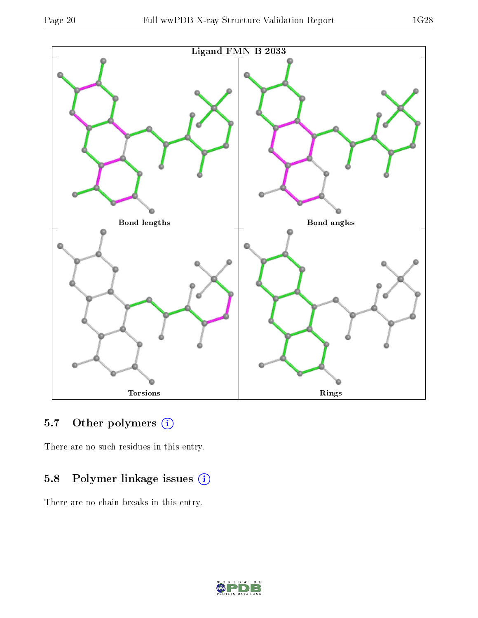

# 5.7 [O](https://www.wwpdb.org/validation/2017/XrayValidationReportHelp#nonstandard_residues_and_ligands)ther polymers (i)

There are no such residues in this entry.

# 5.8 Polymer linkage issues (i)

There are no chain breaks in this entry.